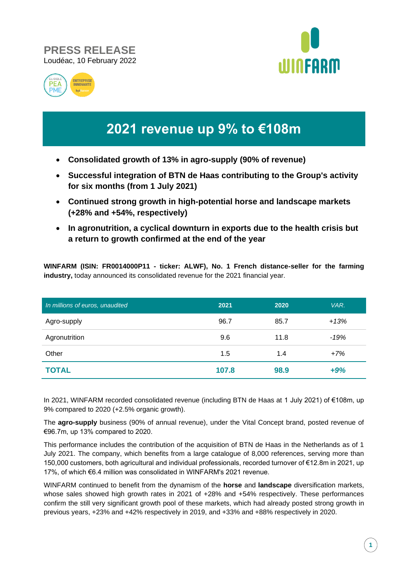## **PRESS RELEASE** Loudéac, 10 February 2022





# **2021 revenue up 9% to €108m**

- **Consolidated growth of 13% in agro-supply (90% of revenue)**
- **Successful integration of BTN de Haas contributing to the Group's activity for six months (from 1 July 2021)**
- **Continued strong growth in high-potential horse and landscape markets (+28% and +54%, respectively)**
- **In agronutrition, a cyclical downturn in exports due to the health crisis but a return to growth confirmed at the end of the year**

**WINFARM (ISIN: FR0014000P11 - ticker: ALWF), No. 1 French distance-seller for the farming industry,** today announced its consolidated revenue for the 2021 financial year.

| In millions of euros, unaudited | 2021  | 2020 | VAR.   |
|---------------------------------|-------|------|--------|
| Agro-supply                     | 96.7  | 85.7 | $+13%$ |
| Agronutrition                   | 9.6   | 11.8 | $-19%$ |
| Other                           | 1.5   | 1.4  | $+7%$  |
| <b>TOTAL</b>                    | 107.8 | 98.9 | $+9%$  |

In 2021, WINFARM recorded consolidated revenue (including BTN de Haas at 1 July 2021) of €108m, up 9% compared to 2020 (+2.5% organic growth).

The **agro-supply** business (90% of annual revenue), under the Vital Concept brand, posted revenue of €96.7m, up 13% compared to 2020.

This performance includes the contribution of the acquisition of BTN de Haas in the Netherlands as of 1 July 2021. The company, which benefits from a large catalogue of 8,000 references, serving more than 150,000 customers, both agricultural and individual professionals, recorded turnover of €12.8m in 2021, up 17%, of which €6.4 million was consolidated in WINFARM's 2021 revenue.

WINFARM continued to benefit from the dynamism of the **horse** and **landscape** diversification markets, whose sales showed high growth rates in 2021 of +28% and +54% respectively. These performances confirm the still very significant growth pool of these markets, which had already posted strong growth in previous years, +23% and +42% respectively in 2019, and +33% and +88% respectively in 2020.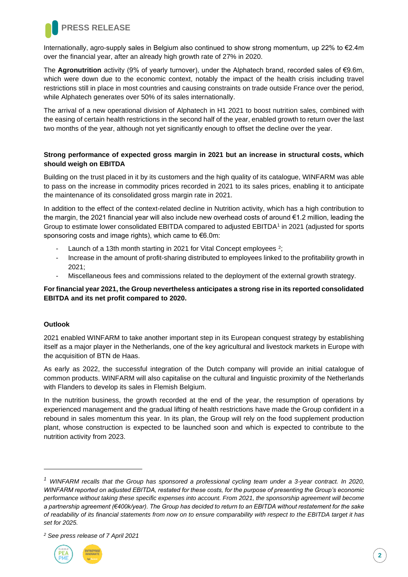

Internationally, agro-supply sales in Belgium also continued to show strong momentum, up 22% to €2.4m over the financial year, after an already high growth rate of 27% in 2020.

The **Agronutrition** activity (9% of yearly turnover), under the Alphatech brand, recorded sales of €9.6m, which were down due to the economic context, notably the impact of the health crisis including travel restrictions still in place in most countries and causing constraints on trade outside France over the period, while Alphatech generates over 50% of its sales internationally.

The arrival of a new operational division of Alphatech in H1 2021 to boost nutrition sales, combined with the easing of certain health restrictions in the second half of the year, enabled growth to return over the last two months of the year, although not yet significantly enough to offset the decline over the year.

#### **Strong performance of expected gross margin in 2021 but an increase in structural costs, which should weigh on EBITDA**

Building on the trust placed in it by its customers and the high quality of its catalogue, WINFARM was able to pass on the increase in commodity prices recorded in 2021 to its sales prices, enabling it to anticipate the maintenance of its consolidated gross margin rate in 2021.

In addition to the effect of the context-related decline in Nutrition activity, which has a high contribution to the margin, the 2021 financial year will also include new overhead costs of around €1.2 million, leading the Group to estimate lower consolidated EBITDA compared to adjusted EBITDA<sup>1</sup> in 2021 (adjusted for sports sponsoring costs and image rights), which came to €6.0m:

- Launch of a 13th month starting in 2021 for Vital Concept employees  $2$ ;
- Increase in the amount of profit-sharing distributed to employees linked to the profitability growth in 2021;
- Miscellaneous fees and commissions related to the deployment of the external growth strategy.

#### **For financial year 2021, the Group nevertheless anticipates a strong rise in its reported consolidated EBITDA and its net profit compared to 2020.**

#### **Outlook**

2021 enabled WINFARM to take another important step in its European conquest strategy by establishing itself as a major player in the Netherlands, one of the key agricultural and livestock markets in Europe with the acquisition of BTN de Haas.

As early as 2022, the successful integration of the Dutch company will provide an initial catalogue of common products. WINFARM will also capitalise on the cultural and linguistic proximity of the Netherlands with Flanders to develop its sales in Flemish Belgium.

In the nutrition business, the growth recorded at the end of the year, the resumption of operations by experienced management and the gradual lifting of health restrictions have made the Group confident in a rebound in sales momentum this year. In its plan, the Group will rely on the food supplement production plant, whose construction is expected to be launched soon and which is expected to contribute to the nutrition activity from 2023.

*<sup>2</sup> See press release of 7 April 2021*



*<sup>1</sup> WINFARM recalls that the Group has sponsored a professional cycling team under a 3-year contract. In 2020, WINFARM reported on adjusted EBITDA, restated for these costs, for the purpose of presenting the Group's economic performance without taking these specific expenses into account. From 2021, the sponsorship agreement will become a partnership agreement (€400k/year). The Group has decided to return to an EBITDA without restatement for the sake of readability of its financial statements from now on to ensure comparability with respect to the EBITDA target it has set for 2025.*